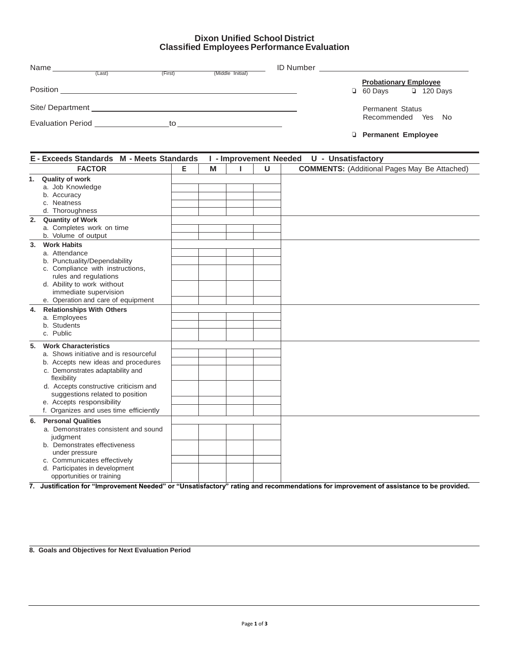## **Dixon Unified School District Classified Employees Performance Evaluation**

| Name                     | (Last)                                                                                                                                                                                                                               | (First) | (Middle Initial) | <b>ID Number</b> |                                                                   |
|--------------------------|--------------------------------------------------------------------------------------------------------------------------------------------------------------------------------------------------------------------------------------|---------|------------------|------------------|-------------------------------------------------------------------|
| Position                 |                                                                                                                                                                                                                                      |         |                  |                  | <b>Probationary Employee</b><br>$\Box$ 120 Days<br>$\Box$ 60 Days |
| Site/ Department         | <u>and the contract of the contract of the contract of the contract of the contract of the contract of the contract of the contract of the contract of the contract of the contract of the contract of the contract of the contr</u> |         |                  |                  | <b>Permanent Status</b>                                           |
| <b>Evaluation Period</b> |                                                                                                                                                                                                                                      | to      |                  |                  | Yes<br>Recommended<br>- No                                        |
|                          |                                                                                                                                                                                                                                      |         |                  |                  | <b>D</b> Permanent Employee                                       |

| E - Exceeds Standards M - Meets Standards                                                                                                                                                                                                                                                                                |   |   | <b>I</b> - Improvement Needed |        | U - Unsatisfactory                                  |  |  |
|--------------------------------------------------------------------------------------------------------------------------------------------------------------------------------------------------------------------------------------------------------------------------------------------------------------------------|---|---|-------------------------------|--------|-----------------------------------------------------|--|--|
| <b>FACTOR</b>                                                                                                                                                                                                                                                                                                            | Е | M |                               | $\cup$ | <b>COMMENTS:</b> (Additional Pages May Be Attached) |  |  |
| 1. Quality of work<br>a. Job Knowledge<br>b. Accuracy<br>Neatness<br>C.<br>d. Thoroughness                                                                                                                                                                                                                               |   |   |                               |        |                                                     |  |  |
| 2. Quantity of Work<br>a. Completes work on time<br>b. Volume of output                                                                                                                                                                                                                                                  |   |   |                               |        |                                                     |  |  |
| <b>Work Habits</b><br>3.<br>a. Attendance<br>b. Punctuality/Dependability<br>c. Compliance with instructions,<br>rules and regulations<br>d. Ability to work without<br>immediate supervision<br>e. Operation and care of equipment                                                                                      |   |   |                               |        |                                                     |  |  |
| <b>Relationships With Others</b><br>4.<br>a. Employees<br>b. Students<br>c. Public                                                                                                                                                                                                                                       |   |   |                               |        |                                                     |  |  |
| <b>Work Characteristics</b><br>5.<br>a. Shows initiative and is resourceful<br>b. Accepts new ideas and procedures<br>c. Demonstrates adaptability and<br>flexibility<br>d. Accepts constructive criticism and<br>suggestions related to position<br>e. Accepts responsibility<br>f. Organizes and uses time efficiently |   |   |                               |        |                                                     |  |  |
| <b>Personal Qualities</b><br>6.<br>a. Demonstrates consistent and sound<br>judgment<br>b. Demonstrates effectiveness<br>under pressure<br>c. Communicates effectively<br>d. Participates in development<br>opportunities or training                                                                                     |   |   |                               |        |                                                     |  |  |

**7. Justification for "Improvement Needed" or "Unsatisfactory" rating and recommendations for improvement of assistance to be provided.**

**8. Goals and Objectives for Next Evaluation Period**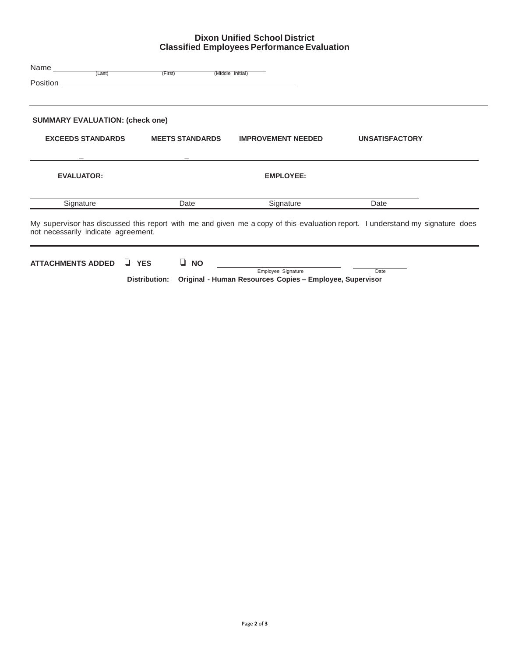# **Dixon Unified School District Classified Employees Performance Evaluation**

| Name <sub>______</sub><br>(Last)       | (First)                | (Middle Initial)          |                                                                                                                               |  |
|----------------------------------------|------------------------|---------------------------|-------------------------------------------------------------------------------------------------------------------------------|--|
| <b>SUMMARY EVALUATION: (check one)</b> |                        |                           |                                                                                                                               |  |
| <b>EXCEEDS STANDARDS</b>               | <b>MEETS STANDARDS</b> | <b>IMPROVEMENT NEEDED</b> | <b>UNSATISFACTORY</b>                                                                                                         |  |
|                                        |                        |                           |                                                                                                                               |  |
| <b>EVALUATOR:</b>                      |                        | <b>EMPLOYEE:</b>          |                                                                                                                               |  |
| Signature                              | Date                   | Signature                 | Date                                                                                                                          |  |
| not necessarily indicate agreement.    |                        |                           | My supervisor has discussed this report with me and given me a copy of this evaluation report. I understand my signature does |  |
| <b>ATTACHMENTS ADDED</b>               | U YES<br><b>NO</b>     |                           |                                                                                                                               |  |

Employee Signature Date **Distribution: Original - Human Resources Copies – Employee, Supervisor**